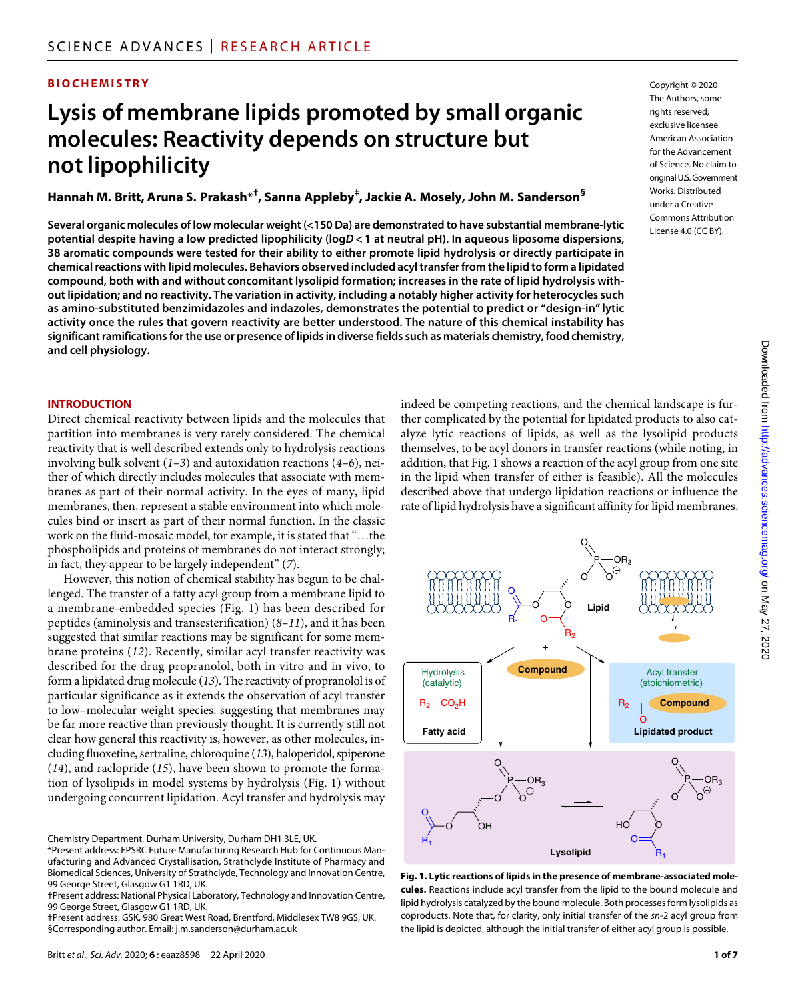#### **BIOCHEMISTRY**

## **Lysis of membrane lipids promoted by small organic molecules: Reactivity depends on structure but not lipophilicity**

**Hannah M. Britt, Aruna S. Prakash\*† , Sanna Appleby‡ , Jackie A. Mosely, John M. Sanderson§**

**Several organic molecules of low molecular weight (<150 Da) are demonstrated to have substantial membrane-lytic potential despite having a low predicted lipophilicity (log***D***< 1 at neutral pH). In aqueous liposome dispersions, 38 aromatic compounds were tested for their ability to either promote lipid hydrolysis or directly participate in chemical reactions with lipid molecules. Behaviors observed included acyl transfer from the lipid to form a lipidated compound, both with and without concomitant lysolipid formation; increases in the rate of lipid hydrolysis without lipidation; and no reactivity. The variation in activity, including a notably higher activity for heterocycles such as amino-substituted benzimidazoles and indazoles, demonstrates the potential to predict or "design-in" lytic activity once the rules that govern reactivity are better understood. The nature of this chemical instability has significant ramifications for the use or presence of lipids in diverse fields such as materials chemistry, food chemistry, and cell physiology.**

#### **INTRODUCTION**

Direct chemical reactivity between lipids and the molecules that partition into membranes is very rarely considered. The chemical reactivity that is well described extends only to hydrolysis reactions involving bulk solvent (*1*–*3*) and autoxidation reactions (*4*–*6*), neither of which directly includes molecules that associate with membranes as part of their normal activity. In the eyes of many, lipid membranes, then, represent a stable environment into which molecules bind or insert as part of their normal function. In the classic work on the fluid-mosaic model, for example, it is stated that "…the phospholipids and proteins of membranes do not interact strongly; in fact, they appear to be largely independent" (*7*).

However, this notion of chemical stability has begun to be challenged. The transfer of a fatty acyl group from a membrane lipid to a membrane-embedded species (Fig. 1) has been described for peptides (aminolysis and transesterification) (*8*–*11*), and it has been suggested that similar reactions may be significant for some membrane proteins (*12*). Recently, similar acyl transfer reactivity was described for the drug propranolol, both in vitro and in vivo, to form a lipidated drug molecule (*13*). The reactivity of propranolol is of particular significance as it extends the observation of acyl transfer to low–molecular weight species, suggesting that membranes may be far more reactive than previously thought. It is currently still not clear how general this reactivity is, however, as other molecules, including fluoxetine, sertraline, chloroquine (*13*), haloperidol, spiperone (*14*), and raclopride (*15*), have been shown to promote the formation of lysolipids in model systems by hydrolysis (Fig. 1) without undergoing concurrent lipidation. Acyl transfer and hydrolysis may

Chemistry Department, Durham University, Durham DH1 3LE, UK.

indeed be competing reactions, and the chemical landscape is further complicated by the potential for lipidated products to also catalyze lytic reactions of lipids, as well as the lysolipid products themselves, to be acyl donors in transfer reactions (while noting, in addition, that Fig. 1 shows a reaction of the acyl group from one site in the lipid when transfer of either is feasible). All the molecules described above that undergo lipidation reactions or influence the rate of lipid hydrolysis have a significant affinity for lipid membranes,



**Fig. 1. Lytic reactions of lipids in the presence of membrane-associated molecules.** Reactions include acyl transfer from the lipid to the bound molecule and lipid hydrolysis catalyzed by the bound molecule. Both processes form lysolipids as coproducts. Note that, for clarity, only initial transfer of the *sn*-2 acyl group from the lipid is depicted, although the initial transfer of either acyl group is possible.

<sup>\*</sup>Present address: EPSRC Future Manufacturing Research Hub for Continuous Manufacturing and Advanced Crystallisation, Strathclyde Institute of Pharmacy and Biomedical Sciences, University of Strathclyde, Technology and Innovation Centre, 99 George Street, Glasgow G1 1RD, UK.

<sup>†</sup>Present address: National Physical Laboratory, Technology and Innovation Centre, 99 George Street, Glasgow G1 1RD, UK.

<sup>‡</sup>Present address: GSK, 980 Great West Road, Brentford, Middlesex TW8 9GS, UK. §Corresponding author. Email: j.m.sanderson@durham.ac.uk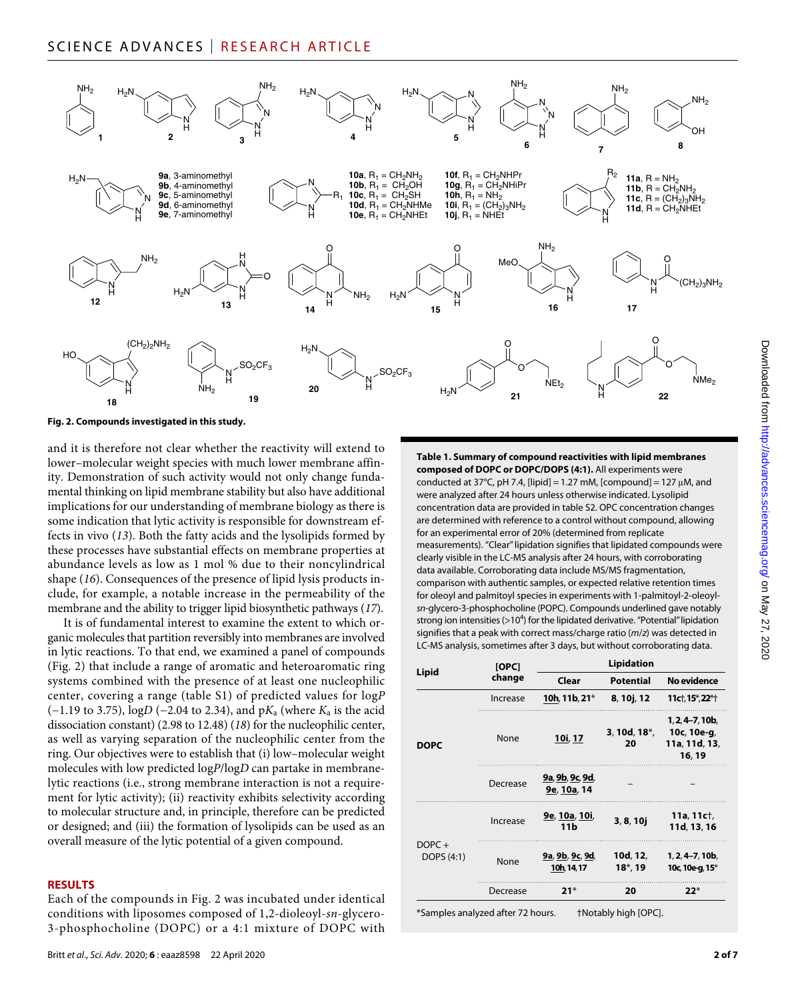### SCIENCE ADVANCES | RESEARCH ARTICLE



**Fig. 2. Compounds investigated in this study.**

and it is therefore not clear whether the reactivity will extend to lower–molecular weight species with much lower membrane affinity. Demonstration of such activity would not only change fundamental thinking on lipid membrane stability but also have additional implications for our understanding of membrane biology as there is some indication that lytic activity is responsible for downstream effects in vivo (*13*). Both the fatty acids and the lysolipids formed by these processes have substantial effects on membrane properties at abundance levels as low as 1 mol % due to their noncylindrical shape (*16*). Consequences of the presence of lipid lysis products include, for example, a notable increase in the permeability of the membrane and the ability to trigger lipid biosynthetic pathways (*17*).

It is of fundamental interest to examine the extent to which organic molecules that partition reversibly into membranes are involved in lytic reactions. To that end, we examined a panel of compounds (Fig. 2) that include a range of aromatic and heteroaromatic ring systems combined with the presence of at least one nucleophilic center, covering a range (table S1) of predicted values for log*P* (−1.19 to 3.75), log*D* (−2.04 to 2.34), and p*K*a (where *K*a is the acid dissociation constant) (2.98 to 12.48) (*18*) for the nucleophilic center, as well as varying separation of the nucleophilic center from the ring. Our objectives were to establish that (i) low–molecular weight molecules with low predicted log*P*/log*D* can partake in membranelytic reactions (i.e., strong membrane interaction is not a requirement for lytic activity); (ii) reactivity exhibits selectivity according to molecular structure and, in principle, therefore can be predicted or designed; and (iii) the formation of lysolipids can be used as an overall measure of the lytic potential of a given compound.

#### **RESULTS**

Each of the compounds in Fig. 2 was incubated under identical conditions with liposomes composed of 1,2-dioleoyl-*sn*-glycero-3-phosphocholine (DOPC) or a 4:1 mixture of DOPC with

**Table 1. Summary of compound reactivities with lipid membranes composed of DOPC or DOPC/DOPS (4:1).** All experiments were conducted at 37°C, pH 7.4, [lipid] = 1.27 mM, [compound] = 127  $\mu$ M, and were analyzed after 24 hours unless otherwise indicated. Lysolipid concentration data are provided in table S2. OPC concentration changes are determined with reference to a control without compound, allowing for an experimental error of 20% (determined from replicate measurements). "Clear" lipidation signifies that lipidated compounds were clearly visible in the LC-MS analysis after 24 hours, with corroborating data available. Corroborating data include MS/MS fragmentation, comparison with authentic samples, or expected relative retention times for oleoyl and palmitoyl species in experiments with 1-palmitoyl-2-oleoyl*sn*-glycero-3-phosphocholine (POPC). Compounds underlined gave notably strong ion intensities (>10<sup>4</sup>) for the lipidated derivative. "Potential" lipidation signifies that a peak with correct mass/charge ratio (*m*/*z*) was detected in LC-MS analysis, sometimes after 3 days, but without corroborating data.

| Lipid                  | [OPC]<br>change | <b>Lipidation</b>              |                         |                                                             |
|------------------------|-----------------|--------------------------------|-------------------------|-------------------------------------------------------------|
|                        |                 | Clear                          | <b>Potential</b>        | No evidence                                                 |
| <b>DOPC</b>            | Increase        | 10h, 11b, 21*                  | 8, 10j, 12              | 11ct, 15*, 22*+                                             |
|                        | None            | 10i, 17                        | $3, 10d, 18*$ ,<br>20   | $1, 2, 4-7, 10b,$<br>10c, 10e-g,<br>11a, 11d, 13,<br>16, 19 |
|                        | Decrease        | 9a, 9b, 9c, 9d,<br>9e, 10a, 14 |                         |                                                             |
| $DOPC +$<br>DOPS (4:1) | Increase        | 9e, 10a, 10i,<br>11b           | 3, 8, 10j               | 11a, 11c $\dagger$ ,<br>11d, 13, 16                         |
|                        | None            | 9a, 9b, 9c, 9d,<br>10h, 14, 17 | 10d, 12,<br>$18^*$ , 19 | $1, 2, 4-7, 10b,$<br>10c, 10e-q, 15 $*$                     |
|                        | Decrease        | $21*$                          | 20                      | $22*$                                                       |

\*Samples analyzed after 72 hours. †Notably high [OPC].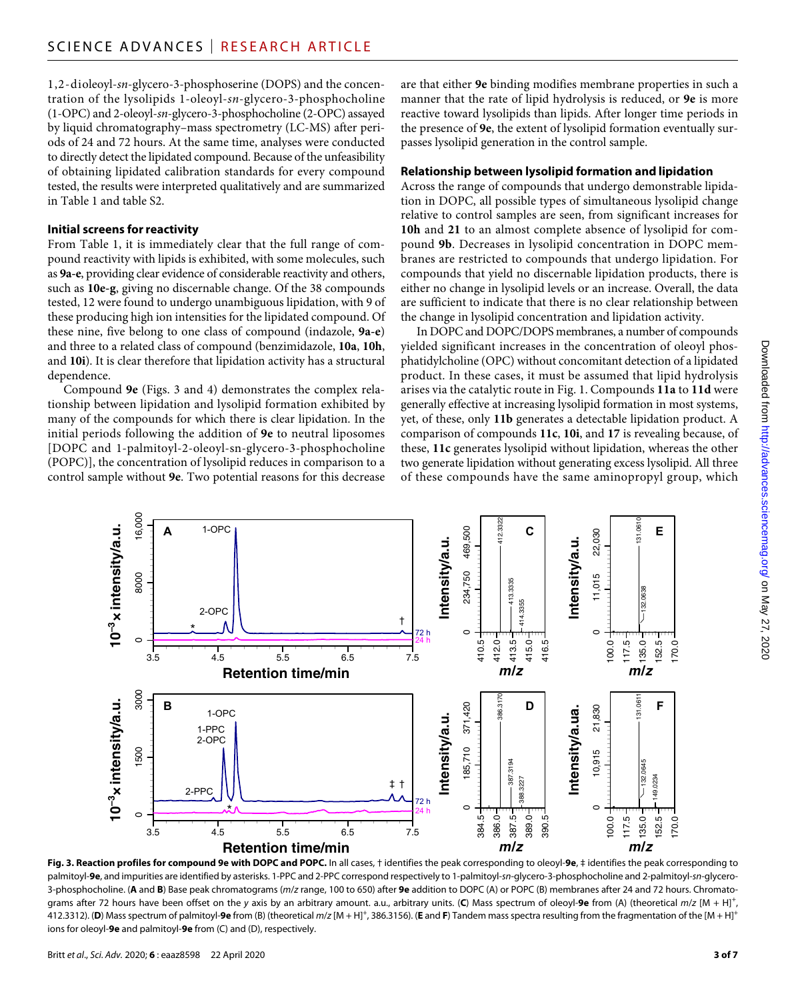1,2-dioleoyl-*sn*-glycero-3-phosphoserine (DOPS) and the concentration of the lysolipids 1-oleoyl-*sn*-glycero-3-phosphocholine (1-OPC) and 2-oleoyl-*sn*-glycero-3-phosphocholine (2-OPC) assayed by liquid chromatography–mass spectrometry (LC-MS) after periods of 24 and 72 hours. At the same time, analyses were conducted to directly detect the lipidated compound. Because of the unfeasibility of obtaining lipidated calibration standards for every compound tested, the results were interpreted qualitatively and are summarized in Table 1 and table S2.

#### **Initial screens forreactivity**

From Table 1, it is immediately clear that the full range of compound reactivity with lipids is exhibited, with some molecules, such as **9a-e**, providing clear evidence of considerable reactivity and others, such as **10e-g**, giving no discernable change. Of the 38 compounds tested, 12 were found to undergo unambiguous lipidation, with 9 of these producing high ion intensities for the lipidated compound. Of these nine, five belong to one class of compound (indazole, **9a-e**) and three to a related class of compound (benzimidazole, **10a**, **10h**, and **10i**). It is clear therefore that lipidation activity has a structural dependence.

Compound **9e** (Figs. 3 and 4) demonstrates the complex relationship between lipidation and lysolipid formation exhibited by many of the compounds for which there is clear lipidation. In the initial periods following the addition of **9e** to neutral liposomes [DOPC and 1-palmitoyl-2-oleoyl-sn-glycero-3-phosphocholine (POPC)], the concentration of lysolipid reduces in comparison to a control sample without **9e**. Two potential reasons for this decrease

are that either **9e** binding modifies membrane properties in such a manner that the rate of lipid hydrolysis is reduced, or **9e** is more reactive toward lysolipids than lipids. After longer time periods in the presence of **9e**, the extent of lysolipid formation eventually surpasses lysolipid generation in the control sample.

#### **Relationship between lysolipid formation and lipidation**

Across the range of compounds that undergo demonstrable lipidation in DOPC, all possible types of simultaneous lysolipid change relative to control samples are seen, from significant increases for **10h** and **21** to an almost complete absence of lysolipid for compound **9b**. Decreases in lysolipid concentration in DOPC membranes are restricted to compounds that undergo lipidation. For compounds that yield no discernable lipidation products, there is either no change in lysolipid levels or an increase. Overall, the data are sufficient to indicate that there is no clear relationship between the change in lysolipid concentration and lipidation activity.

In DOPC and DOPC/DOPS membranes, a number of compounds yielded significant increases in the concentration of oleoyl phosphatidylcholine (OPC) without concomitant detection of a lipidated product. In these cases, it must be assumed that lipid hydrolysis arises via the catalytic route in Fig. 1. Compounds **11a** to **11d** were generally effective at increasing lysolipid formation in most systems, yet, of these, only **11b** generates a detectable lipidation product. A comparison of compounds **11c**, **10i**, and **17** is revealing because, of these, **11c** generates lysolipid without lipidation, whereas the other two generate lipidation without generating excess lysolipid. All three of these compounds have the same aminopropyl group, which



**Fig. 3. Reaction profiles for compound 9e with DOPC and POPC.** In all cases, † identifies the peak corresponding to oleoyl-**9e**, ‡ identifies the peak corresponding to palmitoyl-**9e**, and impurities are identified by asterisks. 1-PPC and 2-PPC correspond respectively to 1-palmitoyl-*sn*-glycero-3-phosphocholine and 2-palmitoyl-*sn*-glycero-3-phosphocholine. (**A** and **B**) Base peak chromatograms (*m*/*z* range, 100 to 650) after **9e** addition to DOPC (A) or POPC (B) membranes after 24 and 72 hours. Chromatograms after 72 hours have been offset on the *y* axis by an arbitrary amount. a.u., arbitrary units. (**C**) Mass spectrum of oleoyl-**9e** from (A) (theoretical *m*/*z* [M + H]<sup>+</sup> , 412.3312). (**D**) Mass spectrum of palmitoyl-**9e** from (B) (theoretical *m*/*z* [M + H]+ , 386.3156). (**E** and **F**) Tandem mass spectra resulting from the fragmentation of the [M + H]+ ions for oleoyl-**9e** and palmitoyl-**9e** from (C) and (D), respectively.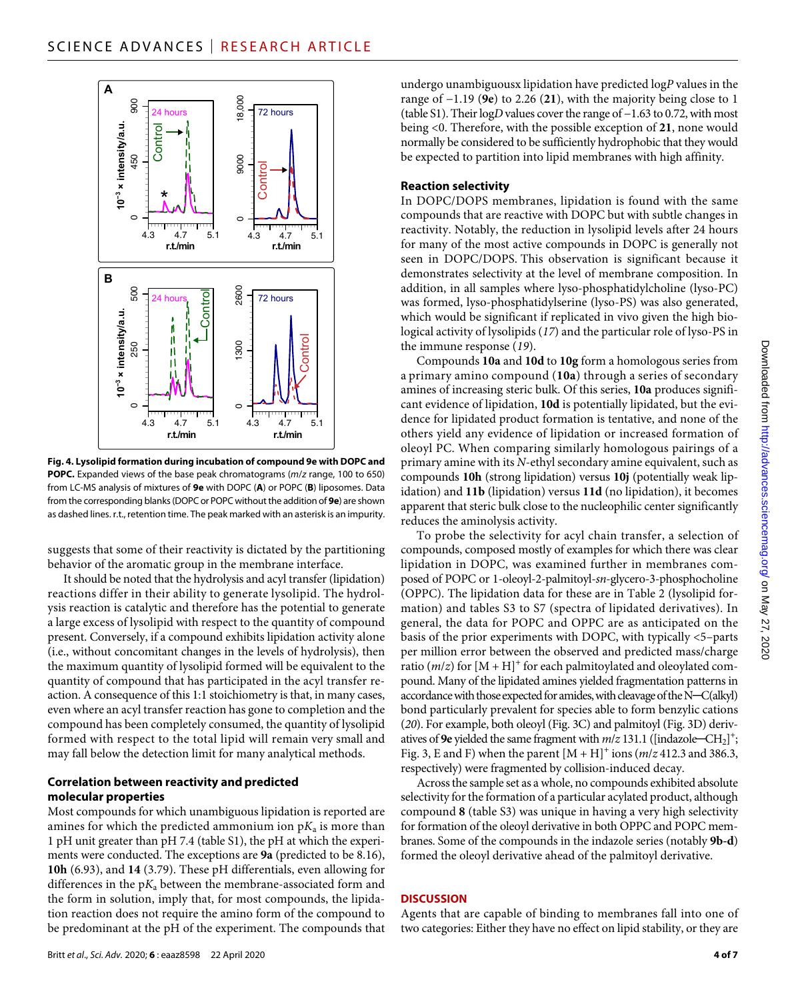

**Fig. 4. Lysolipid formation during incubation of compound 9e with DOPC and POPC.** Expanded views of the base peak chromatograms (*m*/*z* range, 100 to 650) from LC-MS analysis of mixtures of **9e** with DOPC (**A**) or POPC (**B**) liposomes. Data from the corresponding blanks (DOPC or POPC without the addition of **9e**) are shown as dashed lines. r.t., retention time. The peak marked with an asterisk is an impurity.

suggests that some of their reactivity is dictated by the partitioning behavior of the aromatic group in the membrane interface.

It should be noted that the hydrolysis and acyl transfer (lipidation) reactions differ in their ability to generate lysolipid. The hydrolysis reaction is catalytic and therefore has the potential to generate a large excess of lysolipid with respect to the quantity of compound present. Conversely, if a compound exhibits lipidation activity alone (i.e., without concomitant changes in the levels of hydrolysis), then the maximum quantity of lysolipid formed will be equivalent to the quantity of compound that has participated in the acyl transfer reaction. A consequence of this 1:1 stoichiometry is that, in many cases, even where an acyl transfer reaction has gone to completion and the compound has been completely consumed, the quantity of lysolipid formed with respect to the total lipid will remain very small and may fall below the detection limit for many analytical methods.

#### **Correlation between reactivity and predicted molecular properties**

Most compounds for which unambiguous lipidation is reported are amines for which the predicted ammonium ion  $pK_a$  is more than 1 pH unit greater than pH 7.4 (table S1), the pH at which the experiments were conducted. The exceptions are **9a** (predicted to be 8.16), **10h** (6.93), and **14** (3.79). These pH differentials, even allowing for differences in the  $pK_a$  between the membrane-associated form and the form in solution, imply that, for most compounds, the lipidation reaction does not require the amino form of the compound to be predominant at the pH of the experiment. The compounds that undergo unambiguousx lipidation have predicted log*P* values in the range of −1.19 (**9e**) to 2.26 (**21**), with the majority being close to 1 (table S1). Their log*D* values cover the range of −1.63 to 0.72, with most being <0. Therefore, with the possible exception of **21**, none would normally be considered to be sufficiently hydrophobic that they would be expected to partition into lipid membranes with high affinity.

#### **Reaction selectivity**

In DOPC/DOPS membranes, lipidation is found with the same compounds that are reactive with DOPC but with subtle changes in reactivity. Notably, the reduction in lysolipid levels after 24 hours for many of the most active compounds in DOPC is generally not seen in DOPC/DOPS. This observation is significant because it demonstrates selectivity at the level of membrane composition. In addition, in all samples where lyso-phosphatidylcholine (lyso-PC) was formed, lyso-phosphatidylserine (lyso-PS) was also generated, which would be significant if replicated in vivo given the high biological activity of lysolipids (*17*) and the particular role of lyso-PS in the immune response (*19*).

Compounds **10a** and **10d** to **10g** form a homologous series from a primary amino compound (**10a**) through a series of secondary amines of increasing steric bulk. Of this series, **10a** produces significant evidence of lipidation, **10d** is potentially lipidated, but the evidence for lipidated product formation is tentative, and none of the others yield any evidence of lipidation or increased formation of oleoyl PC. When comparing similarly homologous pairings of a primary amine with its *N*-ethyl secondary amine equivalent, such as compounds **10h** (strong lipidation) versus **10j** (potentially weak lipidation) and **11b** (lipidation) versus **11d** (no lipidation), it becomes apparent that steric bulk close to the nucleophilic center significantly reduces the aminolysis activity.

To probe the selectivity for acyl chain transfer, a selection of compounds, composed mostly of examples for which there was clear lipidation in DOPC, was examined further in membranes composed of POPC or 1-oleoyl-2-palmitoyl-*sn*-glycero-3-phosphocholine (OPPC). The lipidation data for these are in Table 2 (lysolipid formation) and tables S3 to S7 (spectra of lipidated derivatives). In general, the data for POPC and OPPC are as anticipated on the basis of the prior experiments with DOPC, with typically <5–parts per million error between the observed and predicted mass/charge ratio  $(m/z)$  for  $[M + H]$ <sup>+</sup> for each palmitoylated and oleoylated compound. Many of the lipidated amines yielded fragmentation patterns in accordance with those expected for amides, with cleavage of the N─C(alkyl) bond particularly prevalent for species able to form benzylic cations (*20*). For example, both oleoyl (Fig. 3C) and palmitoyl (Fig. 3D) derivatives of 9e yielded the same fragment with  $m/z$  131.1 ([indazole-CH<sub>2</sub>]<sup>+</sup>; Fig. 3, E and F) when the parent  $[M + H]$ <sup>+</sup> ions ( $m/z$  412.3 and 386.3, respectively) were fragmented by collision-induced decay.

Across the sample set as a whole, no compounds exhibited absolute selectivity for the formation of a particular acylated product, although compound **8** (table S3) was unique in having a very high selectivity for formation of the oleoyl derivative in both OPPC and POPC membranes. Some of the compounds in the indazole series (notably **9b-d**) formed the oleoyl derivative ahead of the palmitoyl derivative.

#### **DISCUSSION**

Agents that are capable of binding to membranes fall into one of two categories: Either they have no effect on lipid stability, or they are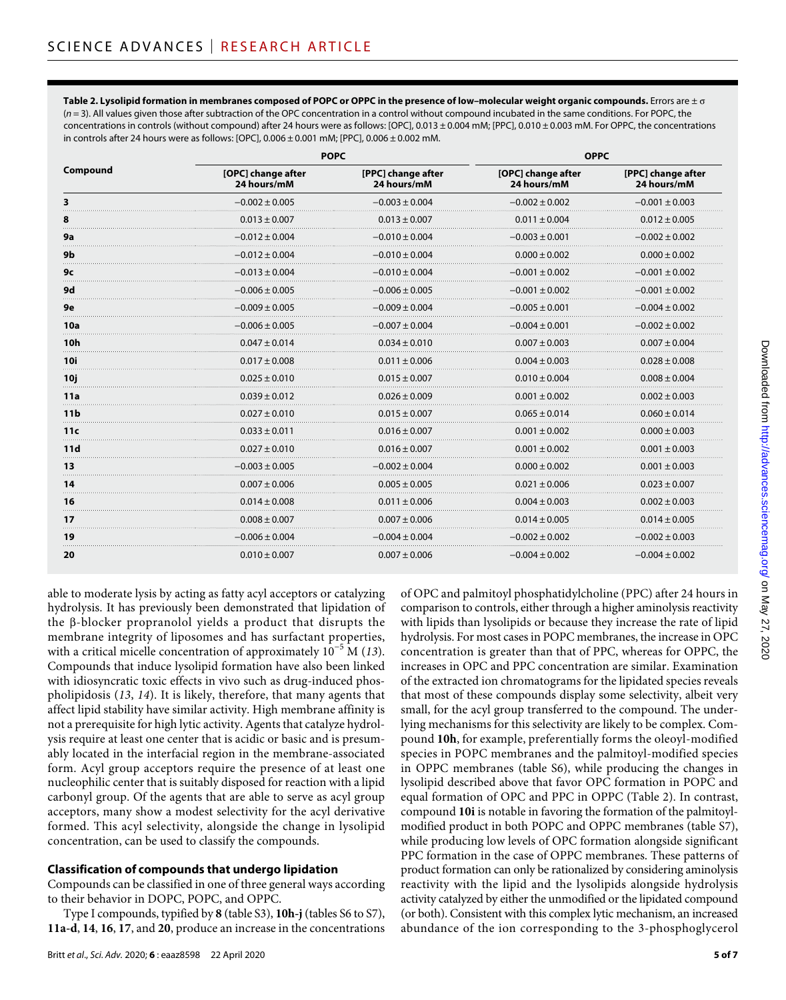**Table 2. Lysolipid formation in membranes composed of POPC or OPPC in the presence of low–molecular weight organic compounds.** Errors are ± (*n* = 3). All values given those after subtraction of the OPC concentration in a control without compound incubated in the same conditions. For POPC, the concentrations in controls (without compound) after 24 hours were as follows: [OPC], 0.013 ± 0.004 mM; [PPC], 0.010 ± 0.003 mM. For OPPC, the concentrations in controls after 24 hours were as follows: [OPC], 0.006 ± 0.001 mM; [PPC], 0.006 ± 0.002 mM.

| Compound             | <b>POPC</b>                       |                                   | <b>OPPC</b>                       |                                   |
|----------------------|-----------------------------------|-----------------------------------|-----------------------------------|-----------------------------------|
|                      | [OPC] change after<br>24 hours/mM | [PPC] change after<br>24 hours/mM | [OPC] change after<br>24 hours/mM | [PPC] change after<br>24 hours/mM |
|                      | $-0.002 \pm 0.005$                | $-0.003 \pm 0.004$                | $-0.002 \pm 0.002$                | $-0.001 \pm 0.003$                |
| 8                    | $0.013 \pm 0.007$                 | $0.013 \pm 0.007$                 | $0.011 \pm 0.004$                 | $0.012 \pm 0.005$                 |
| 9а                   | $-0.012 \pm 0.004$                | $-0.010 \pm 0.004$                | $-0.003 \pm 0.001$                | $-0.002 \pm 0.002$                |
| 9b                   | $-0.012 \pm 0.004$                | $-0.010 \pm 0.004$                | $0.000 \pm 0.002$                 | $0.000 \pm 0.002$                 |
| 9с                   | $-0.013 \pm 0.004$                | $-0.010 \pm 0.004$                | $-0.001 \pm 0.002$                | $-0.001 \pm 0.002$                |
| 9d                   | $-0.006 \pm 0.005$                | $-0.006 \pm 0.005$                | $-0.001 \pm 0.002$                | $-0.001 \pm 0.002$                |
| 9e                   | $-0.009 \pm 0.005$                | $-0.009 \pm 0.004$                | $-0.005 \pm 0.001$                | $-0.004 \pm 0.002$                |
| 10a<br>.             | $-0.006 \pm 0.005$                | $-0.007 \pm 0.004$                | $-0.004 \pm 0.001$                | $-0.002 \pm 0.002$                |
| <b>10h</b>           | $0.047 \pm 0.014$                 | $0.034 \pm 0.010$                 | $0.007 \pm 0.003$                 | $0.007 \pm 0.004$                 |
| <b>10i</b>           | $0.017 \pm 0.008$                 | $0.011 \pm 0.006$                 | $0.004 \pm 0.003$                 | $0.028 \pm 0.008$                 |
| 10j                  | $0.025 \pm 0.010$                 | $0.015 \pm 0.007$                 | $0.010 \pm 0.004$                 | $0.008 \pm 0.004$                 |
| 11a                  | $0.039 \pm 0.012$                 | $0.026 \pm 0.009$                 | $0.001 \pm 0.002$                 | $0.002 \pm 0.003$                 |
| 11 <sub>b</sub><br>. | $0.027 \pm 0.010$                 | $0.015 \pm 0.007$                 | $0.065 \pm 0.014$<br>.            | $0.060 \pm 0.014$                 |
| 11c                  | $0.033 \pm 0.011$                 | $0.016 \pm 0.007$                 | $0.001 \pm 0.002$                 | $0.000 \pm 0.003$                 |
| 11d<br>.             | $0.027 \pm 0.010$                 | $0.016 \pm 0.007$                 | $0.001 \pm 0.002$                 | $0.001 \pm 0.003$                 |
| 13                   | $-0.003 \pm 0.005$                | $-0.002 \pm 0.004$                | $0.000 \pm 0.002$                 | $0.001 \pm 0.003$                 |
| 14                   | $0.007 \pm 0.006$                 | $0.005 \pm 0.005$                 | $0.021 \pm 0.006$                 | $0.023 \pm 0.007$                 |
| 16<br>.              | $0.014 \pm 0.008$                 | $0.011 \pm 0.006$                 | $0.004 \pm 0.003$                 | $0.002 \pm 0.003$                 |
| 17                   | $0.008 \pm 0.007$                 | $0.007 \pm 0.006$                 | $0.014 \pm 0.005$                 | $0.014 \pm 0.005$                 |
| 19<br>.              | $-0.006 \pm 0.004$                | $-0.004 \pm 0.004$                | $-0.002 \pm 0.002$                | $-0.002 \pm 0.003$                |
| 20                   | $0.010 \pm 0.007$                 | $0.007 \pm 0.006$                 | $-0.004 \pm 0.002$                | $-0.004 \pm 0.002$                |

able to moderate lysis by acting as fatty acyl acceptors or catalyzing hydrolysis. It has previously been demonstrated that lipidation of the  $\beta$ -blocker propranolol yields a product that disrupts the membrane integrity of liposomes and has surfactant properties, with a critical micelle concentration of approximately 10−5 M (*13*). Compounds that induce lysolipid formation have also been linked with idiosyncratic toxic effects in vivo such as drug-induced phospholipidosis (*13*, *14*). It is likely, therefore, that many agents that affect lipid stability have similar activity. High membrane affinity is not a prerequisite for high lytic activity. Agents that catalyze hydrolysis require at least one center that is acidic or basic and is presumably located in the interfacial region in the membrane-associated form. Acyl group acceptors require the presence of at least one nucleophilic center that is suitably disposed for reaction with a lipid carbonyl group. Of the agents that are able to serve as acyl group acceptors, many show a modest selectivity for the acyl derivative formed. This acyl selectivity, alongside the change in lysolipid concentration, can be used to classify the compounds.

#### **Classification of compounds that undergo lipidation**

Compounds can be classified in one of three general ways according to their behavior in DOPC, POPC, and OPPC.

Type I compounds, typified by **8** (table S3), **10h-j** (tables S6 to S7), **11a-d**, **14**, **16**, **17**, and **20**, produce an increase in the concentrations of OPC and palmitoyl phosphatidylcholine (PPC) after 24 hours in comparison to controls, either through a higher aminolysis reactivity with lipids than lysolipids or because they increase the rate of lipid hydrolysis. For most cases in POPC membranes, the increase in OPC concentration is greater than that of PPC, whereas for OPPC, the increases in OPC and PPC concentration are similar. Examination of the extracted ion chromatograms for the lipidated species reveals that most of these compounds display some selectivity, albeit very small, for the acyl group transferred to the compound. The underlying mechanisms for this selectivity are likely to be complex. Compound **10h**, for example, preferentially forms the oleoyl-modified species in POPC membranes and the palmitoyl-modified species in OPPC membranes (table S6), while producing the changes in lysolipid described above that favor OPC formation in POPC and equal formation of OPC and PPC in OPPC (Table 2). In contrast, compound **10i** is notable in favoring the formation of the palmitoylmodified product in both POPC and OPPC membranes (table S7), while producing low levels of OPC formation alongside significant PPC formation in the case of OPPC membranes. These patterns of product formation can only be rationalized by considering aminolysis reactivity with the lipid and the lysolipids alongside hydrolysis activity catalyzed by either the unmodified or the lipidated compound (or both). Consistent with this complex lytic mechanism, an increased abundance of the ion corresponding to the 3-phosphoglycerol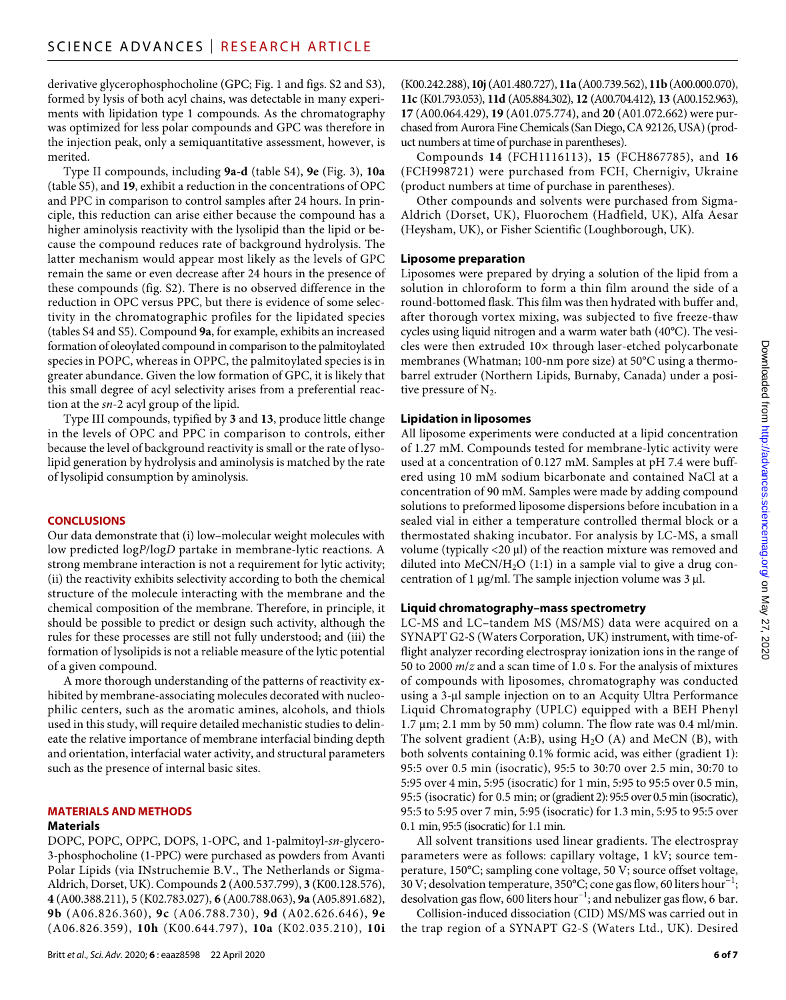derivative glycerophosphocholine (GPC; Fig. 1 and figs. S2 and S3), formed by lysis of both acyl chains, was detectable in many experiments with lipidation type 1 compounds. As the chromatography was optimized for less polar compounds and GPC was therefore in the injection peak, only a semiquantitative assessment, however, is merited.

Type II compounds, including **9a-d** (table S4), **9e** (Fig. 3), **10a** (table S5), and **19**, exhibit a reduction in the concentrations of OPC and PPC in comparison to control samples after 24 hours. In principle, this reduction can arise either because the compound has a higher aminolysis reactivity with the lysolipid than the lipid or because the compound reduces rate of background hydrolysis. The latter mechanism would appear most likely as the levels of GPC remain the same or even decrease after 24 hours in the presence of these compounds (fig. S2). There is no observed difference in the reduction in OPC versus PPC, but there is evidence of some selectivity in the chromatographic profiles for the lipidated species (tables S4 and S5). Compound **9a**, for example, exhibits an increased formation of oleoylated compound in comparison to the palmitoylated species in POPC, whereas in OPPC, the palmitoylated species is in greater abundance. Given the low formation of GPC, it is likely that this small degree of acyl selectivity arises from a preferential reaction at the *sn*-2 acyl group of the lipid.

Type III compounds, typified by **3** and **13**, produce little change in the levels of OPC and PPC in comparison to controls, either because the level of background reactivity is small or the rate of lysolipid generation by hydrolysis and aminolysis is matched by the rate of lysolipid consumption by aminolysis.

#### **CONCLUSIONS**

Our data demonstrate that (i) low–molecular weight molecules with low predicted log*P*/log*D* partake in membrane-lytic reactions. A strong membrane interaction is not a requirement for lytic activity; (ii) the reactivity exhibits selectivity according to both the chemical structure of the molecule interacting with the membrane and the chemical composition of the membrane. Therefore, in principle, it should be possible to predict or design such activity, although the rules for these processes are still not fully understood; and (iii) the formation of lysolipids is not a reliable measure of the lytic potential of a given compound.

A more thorough understanding of the patterns of reactivity exhibited by membrane-associating molecules decorated with nucleophilic centers, such as the aromatic amines, alcohols, and thiols used in this study, will require detailed mechanistic studies to delineate the relative importance of membrane interfacial binding depth and orientation, interfacial water activity, and structural parameters such as the presence of internal basic sites.

#### **MATERIALS AND METHODS**

#### **Materials**

DOPC, POPC, OPPC, DOPS, 1-OPC, and 1-palmitoyl-*sn*-glycero-3-phosphocholine (1-PPC) were purchased as powders from Avanti Polar Lipids (via INstruchemie B.V., The Netherlands or Sigma-Aldrich, Dorset, UK). Compounds **2** (A00.537.799), **3** (K00.128.576), **4** (A00.388.211), 5 (K02.783.027), **6** (A00.788.063), **9a** (A05.891.682), **9b** (A06.826.360), **9c** (A06.788.730), **9d** (A02.626.646), **9e** (A06.826.359), **10h** (K00.644.797), **10a** (K02.035.210), **10i**

(K00.242.288), **10j** (A01.480.727), **11a** (A00.739.562), **11b** (A00.000.070), **11c** (K01.793.053), **11d** (A05.884.302), **12** (A00.704.412), **13** (A00.152.963), **17** (A00.064.429), **19** (A01.075.774), and **20** (A01.072.662) were purchased from Aurora Fine Chemicals (San Diego, CA 92126, USA) (product numbers at time of purchase in parentheses).

Compounds **14** (FCH1116113), **15** (FCH867785), and **16** (FCH998721) were purchased from FCH, Chernigiv, Ukraine (product numbers at time of purchase in parentheses).

Other compounds and solvents were purchased from Sigma-Aldrich (Dorset, UK), Fluorochem (Hadfield, UK), Alfa Aesar (Heysham, UK), or Fisher Scientific (Loughborough, UK).

#### **Liposome preparation**

Liposomes were prepared by drying a solution of the lipid from a solution in chloroform to form a thin film around the side of a round-bottomed flask. This film was then hydrated with buffer and, after thorough vortex mixing, was subjected to five freeze-thaw cycles using liquid nitrogen and a warm water bath (40°C). The vesicles were then extruded 10× through laser-etched polycarbonate membranes (Whatman; 100-nm pore size) at 50°C using a thermobarrel extruder (Northern Lipids, Burnaby, Canada) under a positive pressure of  $N_2$ .

#### **Lipidation in liposomes**

All liposome experiments were conducted at a lipid concentration of 1.27 mM. Compounds tested for membrane-lytic activity were used at a concentration of 0.127 mM. Samples at pH 7.4 were buffered using 10 mM sodium bicarbonate and contained NaCl at a concentration of 90 mM. Samples were made by adding compound solutions to preformed liposome dispersions before incubation in a sealed vial in either a temperature controlled thermal block or a thermostated shaking incubator. For analysis by LC-MS, a small volume (typically  $\langle 20 \mu l \rangle$  of the reaction mixture was removed and diluted into  $MeCN/H<sub>2</sub>O (1:1)$  in a sample vial to give a drug concentration of 1  $\mu$ g/ml. The sample injection volume was 3  $\mu$ l.

#### **Liquid chromatography–mass spectrometry**

LC-MS and LC–tandem MS (MS/MS) data were acquired on a SYNAPT G2-S (Waters Corporation, UK) instrument, with time-offlight analyzer recording electrospray ionization ions in the range of 50 to 2000 *m*/*z* and a scan time of 1.0 s. For the analysis of mixtures of compounds with liposomes, chromatography was conducted using a 3-µl sample injection on to an Acquity Ultra Performance Liquid Chromatography (UPLC) equipped with a BEH Phenyl  $1.7 \,\mu m$ ; 2.1 mm by 50 mm) column. The flow rate was 0.4 ml/min. The solvent gradient (A:B), using  $H<sub>2</sub>O$  (A) and MeCN (B), with both solvents containing 0.1% formic acid, was either (gradient 1): 95:5 over 0.5 min (isocratic), 95:5 to 30:70 over 2.5 min, 30:70 to 5:95 over 4 min, 5:95 (isocratic) for 1 min, 5:95 to 95:5 over 0.5 min, 95:5 (isocratic) for 0.5 min; or (gradient 2): 95:5 over 0.5 min (isocratic), 95:5 to 5:95 over 7 min, 5:95 (isocratic) for 1.3 min, 5:95 to 95:5 over 0.1 min, 95:5 (isocratic) for 1.1 min.

All solvent transitions used linear gradients. The electrospray parameters were as follows: capillary voltage, 1 kV; source temperature, 150°C; sampling cone voltage, 50 V; source offset voltage, 30 V; desolvation temperature, 350°C; cone gas flow, 60 liters hour−1; desolvation gas flow, 600 liters hour<sup>-1</sup>; and nebulizer gas flow, 6 bar.

Collision-induced dissociation (CID) MS/MS was carried out in the trap region of a SYNAPT G2-S (Waters Ltd., UK). Desired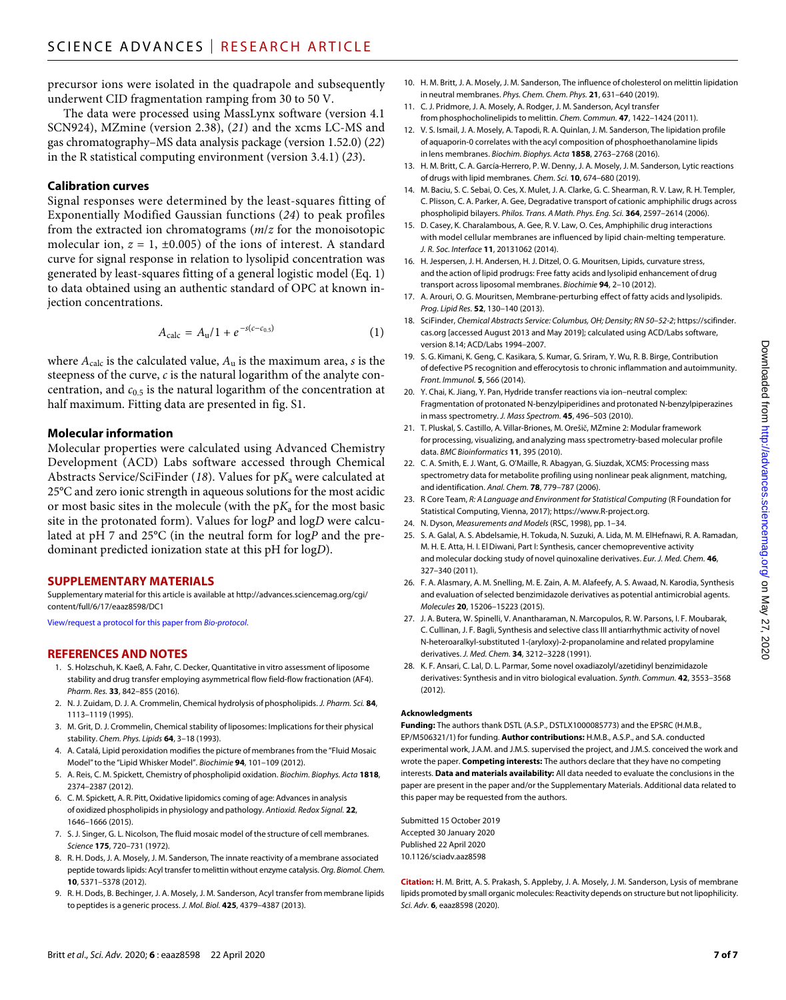precursor ions were isolated in the quadrapole and subsequently underwent CID fragmentation ramping from 30 to 50 V.

The data were processed using MassLynx software (version 4.1 SCN924), MZmine (version 2.38), (*21*) and the xcms LC-MS and gas chromatography–MS data analysis package (version 1.52.0) (*22*) in the R statistical computing environment (version 3.4.1) (*23*).

#### **Calibration curves**

Signal responses were determined by the least-squares fitting of Exponentially Modified Gaussian functions (*24*) to peak profiles from the extracted ion chromatograms (*m*/*z* for the monoisotopic molecular ion,  $z = 1$ ,  $\pm 0.005$ ) of the ions of interest. A standard curve for signal response in relation to lysolipid concentration was generated by least-squares fitting of a general logistic model (Eq. 1) to data obtained using an authentic standard of OPC at known injection concentrations.

$$
A_{\rm calc} = A_{\rm u}/1 + e^{-s(c - c_{0.5})} \tag{1}
$$

where  $A_{\text{calc}}$  is the calculated value,  $A_u$  is the maximum area, *s* is the steepness of the curve, *c* is the natural logarithm of the analyte concentration, and  $c_{0.5}$  is the natural logarithm of the concentration at half maximum. Fitting data are presented in fig. S1.

#### **Molecular information**

Molecular properties were calculated using Advanced Chemistry Development (ACD) Labs software accessed through Chemical Abstracts Service/SciFinder (*18*). Values for p*K*a were calculated at 25°C and zero ionic strength in aqueous solutions for the most acidic or most basic sites in the molecule (with the p*K*a for the most basic site in the protonated form). Values for log*P* and log*D* were calculated at pH 7 and 25°C (in the neutral form for log*P* and the predominant predicted ionization state at this pH for log*D*).

#### **SUPPLEMENTARY MATERIALS**

Supplementary material for this article is available at [http://advances.sciencemag.org/cgi/](http://advances.sciencemag.org/cgi/content/full/6/17/eaaz8598/DC1) [content/full/6/17/eaaz8598/DC1](http://advances.sciencemag.org/cgi/content/full/6/17/eaaz8598/DC1)

[View/request a protocol for this paper from](https://en.bio-protocol.org/cjrap.aspx?eid=10.1126/sciadv.aaz8598) *Bio-protocol*.

#### **REFERENCES AND NOTES**

- 1. S. Holzschuh, K. Kaeß, A. Fahr, C. Decker, Quantitative in vitro assessment of liposome stability and drug transfer employing asymmetrical flow field-flow fractionation (AF4). *Pharm. Res.* **33**, 842–855 (2016).
- 2. N. J. Zuidam, D. J. A. Crommelin, Chemical hydrolysis of phospholipids. *J. Pharm. Sci.* **84**, 1113–1119 (1995).
- 3. M. Grit, D. J. Crommelin, Chemical stability of liposomes: Implications for their physical stability. *Chem. Phys. Lipids* **64**, 3–18 (1993).
- 4. A. Catalá, Lipid peroxidation modifies the picture of membranes from the "Fluid Mosaic Model" to the "Lipid Whisker Model". *Biochimie* **94**, 101–109 (2012).
- 5. A. Reis, C. M. Spickett, Chemistry of phospholipid oxidation. *Biochim. Biophys. Acta* **1818**, 2374–2387 (2012).
- 6. C. M. Spickett, A. R. Pitt, Oxidative lipidomics coming of age: Advances in analysis of oxidized phospholipids in physiology and pathology. *Antioxid. Redox Signal.* **22**, 1646–1666 (2015).
- 7. S. J. Singer, G. L. Nicolson, The fluid mosaic model of the structure of cell membranes. *Science* **175**, 720–731 (1972).
- 8. R. H. Dods, J. A. Mosely, J. M. Sanderson, The innate reactivity of a membrane associated peptide towards lipids: Acyl transfer tomelittin without enzyme catalysis. *Org. Biomol. Chem.* **10**, 5371–5378 (2012).
- 9. R. H. Dods, B. Bechinger, J. A. Mosely, J. M. Sanderson, Acyl transfer from membrane lipids to peptides is a generic process. *J. Mol. Biol.* **425**, 4379–4387 (2013).
- 10. H. M. Britt, J. A. Mosely, J. M. Sanderson, The influence of cholesterol on melittin lipidation in neutral membranes. *Phys. Chem. Chem. Phys.* **21**, 631–640 (2019).
- 11. C. J. Pridmore, J. A. Mosely, A. Rodger, J. M. Sanderson, Acyl transfer from phosphocholinelipids to melittin. *Chem. Commun.* **47**, 1422–1424 (2011).
- 12. V. S. Ismail, J. A. Mosely, A. Tapodi, R. A. Quinlan, J. M. Sanderson, The lipidation profile of aquaporin-0 correlates with the acyl composition of phosphoethanolamine lipids in lens membranes. *Biochim. Biophys. Acta* **1858**, 2763–2768 (2016).
- 13. H. M. Britt, C. A. García-Herrero, P. W. Denny, J. A. Mosely, J. M. Sanderson, Lytic reactions of drugs with lipid membranes. *Chem. Sci.* **10**, 674–680 (2019).
- 14. M. Baciu, S. C. Sebai, O. Ces, X. Mulet, J. A. Clarke, G. C. Shearman, R. V. Law, R. H. Templer, C. Plisson, C. A. Parker, A. Gee, Degradative transport of cationic amphiphilic drugs across phospholipid bilayers. *Philos. Trans. A Math. Phys. Eng. Sci.* **364**, 2597–2614 (2006).
- 15. D. Casey, K. Charalambous, A. Gee, R. V. Law, O. Ces, Amphiphilic drug interactions with model cellular membranes are influenced by lipid chain-melting temperature. *J. R. Soc. Interface* **11**, 20131062 (2014).
- 16. H. Jespersen, J. H. Andersen, H. J. Ditzel, O. G. Mouritsen, Lipids, curvature stress, and the action of lipid prodrugs: Free fatty acids and lysolipid enhancement of drug transport across liposomal membranes. *Biochimie* **94**, 2–10 (2012).
- 17. A. Arouri, O. G. Mouritsen, Membrane-perturbing effect of fatty acids and lysolipids. *Prog. Lipid Res.* **52**, 130–140 (2013).
- 18. SciFinder, *Chemical Abstracts Service: Columbus, OH; Density; RN 50–52-2*; [https://scifinder.](https://scifinder.cas.org) [cas.org](https://scifinder.cas.org) [accessed August 2013 and May 2019]; calculated using ACD/Labs software, version 8.14; ACD/Labs 1994–2007.
- 19. S. G. Kimani, K. Geng, C. Kasikara, S. Kumar, G. Sriram, Y. Wu, R. B. Birge, Contribution of defective PS recognition and efferocytosis to chronic inflammation and autoimmunity. *Front. Immunol.* **5**, 566 (2014).
- 20. Y. Chai, K. Jiang, Y. Pan, Hydride transfer reactions via ion–neutral complex: Fragmentation of protonated N-benzylpiperidines and protonated N-benzylpiperazines in mass spectrometry. *J. Mass Spectrom.* **45**, 496–503 (2010).
- 21. T. Pluskal, S. Castillo, A. Villar-Briones, M. Orešič, MZmine 2: Modular framework for processing, visualizing, and analyzing mass spectrometry-based molecular profile data. *BMC Bioinformatics* **11**, 395 (2010).
- 22. C. A. Smith, E. J. Want, G. O'Maille, R. Abagyan, G. Siuzdak, XCMS: Processing mass spectrometry data for metabolite profiling using nonlinear peak alignment, matching, and identification. *Anal. Chem.* **78**, 779–787 (2006).
- 23. R Core Team, *R: A Language and Environment for Statistical Computing* (R Foundation for Statistical Computing, Vienna, 2017); [https://www.R-project.org.](https://www.R-project.org)
- 24. N. Dyson, *Measurements and Models* (RSC, 1998), pp. 1–34.
- 25. S. A. Galal, A. S. Abdelsamie, H. Tokuda, N. Suzuki, A. Lida, M. M. ElHefnawi, R. A. Ramadan, M. H. E. Atta, H. I. El Diwani, Part I: Synthesis, cancer chemopreventive activity and molecular docking study of novel quinoxaline derivatives. *Eur. J. Med. Chem.* **46**, 327–340 (2011).
- 26. F. A. Alasmary, A. M. Snelling, M. E. Zain, A. M. Alafeefy, A. S. Awaad, N. Karodia, Synthesis and evaluation ofselected benzimidazole derivatives as potential antimicrobial agents. *Molecules* **20**, 15206–15223 (2015).
- 27. J. A. Butera, W. Spinelli, V. Anantharaman, N. Marcopulos, R. W. Parsons, I. F. Moubarak, C. Cullinan, J. F. Bagli, Synthesis and selective class III antiarrhythmic activity of novel N-heteroaralkyl-substituted 1-(aryloxy)-2-propanolamine and related propylamine derivatives. *J. Med. Chem.* **34**, 3212–3228 (1991).
- 28. K. F. Ansari, C. Lal, D. L. Parmar, Some novel oxadiazolyl/azetidinyl benzimidazole derivatives: Synthesis and in vitro biological evaluation. *Synth. Commun.* **42**, 3553–3568 (2012).

#### **Acknowledgments**

**Funding:** The authors thank DSTL (A.S.P., DSTLX1000085773) and the EPSRC (H.M.B., EP/M506321/1) for funding. **Author contributions:** H.M.B., A.S.P., and S.A. conducted experimental work, J.A.M. and J.M.S. supervised the project, and J.M.S. conceived the work and wrote the paper. **Competing interests:** The authors declare that they have no competing interests. **Data and materials availability:** All data needed to evaluate the conclusions in the paper are present in the paper and/or the Supplementary Materials. Additional data related to this paper may be requested from the authors.

Submitted 15 October 2019 Accepted 30 January 2020 Published 22 April 2020 10.1126/sciadv.aaz8598

**Citation:** H. M. Britt, A. S. Prakash, S. Appleby, J. A. Mosely, J. M. Sanderson, Lysis of membrane lipids promoted by small organic molecules: Reactivity depends on structure but not lipophilicity. *Sci. Adv.* **6**, eaaz8598 (2020).